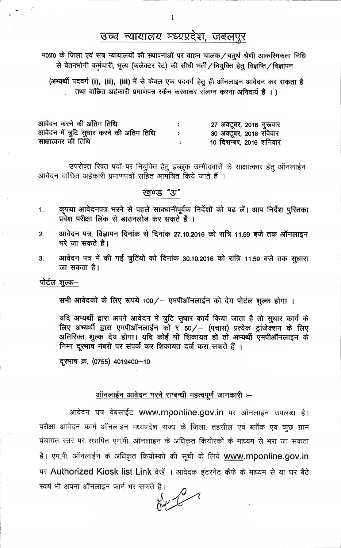# उच्च न्यायालय मध्यप्रदेश, जबलपुर

म0प्र0 के जिला एवं सत्र न्यायालयों की स्थापनाओं पर वाहन चालक/चतुर्थ श्रेणी आकस्मिकता निधि से वेतनभोगी कर्मचारी, भृत्य (कलेक्टर रेट) की सीधी भर्ती / नियुक्ति हेतु विज्ञप्ति / विज्ञापन

(अभ्यर्थी पदवर्ग (i), (ii), (iii) में से केवल एक पदवर्ग हेतू ही ऑनलाइन आवेदन कर सकता है तथा वांछित अर्हकारी प्रमाणपत्र स्कैन करवाकर संलग्न करना अनिवार्य है ।)

| आवेदन करने की अंतिम तिथि                  | 27 अक्टूबर, 2016 गुरूवार |
|-------------------------------------------|--------------------------|
| आवेदन में त्रुटि सुधार करने की अंतिम तिथि | 30 अक्टूबर, 2016 रविवार  |
| साक्षात्कार की तिथि                       | 10 दिसम्बर, 2016 शनिवार  |

उपरोक्त रिक्त पदों पर नियुक्ति हेतु इच्छुक उम्मीदवारों के साक्षात्कार हेतु ऑनलाईन आवेदन वांछित अर्हकारी प्रमाणपत्रों सहित आमंत्रित किये जाते हैं ।

## खण्ड "अ"

- कृपया आवेदनपत्र भरने से पहले सावधानीपूर्वक निर्देशों को पढ़ लें। आप निर्देश पुस्तिका 1. प्रवेश परीक्षा लिंक से डाउनलोड कर सकते हैं ।
- आवेदन पत्र, विज्ञापन दिनांक से दिनांक 27.10.2016 को रात्रि 11.59 बजे तक ऑनलाइन  $2.$ भरे जा सकते हैं।
- आवेदन पत्र में की गई त्रुटियों को दिनांक 30.10.2016 को रात्रि 11.59 बजे तक सुधारा  $3<sub>l</sub>$ जा सकता है।

पोर्टल शुल्क–

सभी आवेदकों के लिए रूपये 100/ - एमपीऑनलाईन को देय पोर्टल शुल्क होगा ।

यदि अभ्यर्थी द्वारा अपने आवेदन में त्रुटि सुधार कार्य किया जाता है तो सुधार कार्य के लिए अभ्यर्थी द्वारा एमपीऑनलाईन को ₹ँ50/ - (पचास) प्रत्येक ट्रांजेक्शन के लिए अतिरिक्त शुल्क देय होगा। यदि कोई भी शिकायत हो तो अभ्यर्थी एमपीऑनलाइन के निम्न दूरभाष नंबरों पर संपर्क कर शिकायत दर्ज करा सकते हैं ।

दूरभाष क्र. (0755) 4019400-10

### ऑनलाईन आवेदन भरने सम्बन्धी महत्वपूर्ण जानकारी :--

आवेदन पत्र वेबसाईट www.mponline.gov.in पर ऑनलाइन उपलब्ध है। परीक्षा आवेदन फार्म ऑनलाइन मध्यप्रदेश राज्य के जिला, तहसील एवं ब्लॉक एवं कुछ ग्राम पंचायत स्तर पर स्थापित एम.पी. ऑनलाइन के अधिकृत कियोस्कों के माध्यम से भरा जा सकता है। एम.पी. ऑनलाईन के अधिकृत कियोस्कों की सूची के लिये www.mponline.gov.in पर Authorized Kiosk list Link देखें । आवेदक इंटरनेट कैफे के माध्यम से या घर बैठे स्वयं भी अपना ऑनलाइन फार्म भर सकते हैं।

Here 2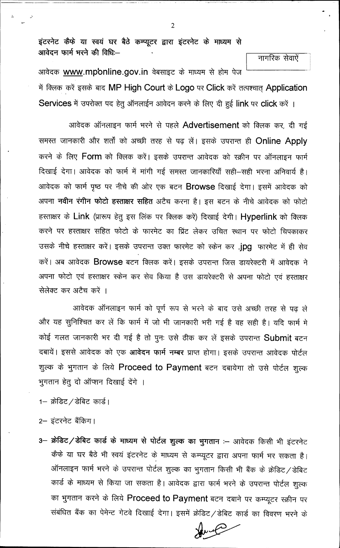इंटरनेट कैफे या स्वयं घर बैठे कम्प्यूटर द्वारा इंटरनेट के माध्यम से आवेदन फार्म भरने की विधिः—

नागरिक सेवाऐं

आवेदक www.mp'online.gov.in वेबसाइट के माध्यम से होम पेज में क्लिक करें इसके बाद MP High Court के Logo पर Click करें तत्पश्चात् Application Services में उपरोक्त पद हेतू ऑनलाईन आवेदन करने के लिए दी हुई link पर click करें ।

आवेदक ऑनलाइन फार्म भरने से पहले Advertisement को क्लिक कर, दी गई समस्त जानकारी और शर्तों को अच्छी तरह से पढ़ लें। इसके उपरान्त ही Online Apply करने के लिए Form को क्लिक करें। इसके उपरान्त आवेदक को स्क्रीन पर ऑनलाइन फार्म दिखाई देगा। आवेदक को फार्म में मांगी गई समस्त जानकारियाँ सही–सही भरना अनिवार्य है। आवेदक को फार्म पृष्ठ पर नीचे की ओर एक बटन Browse दिखाई देगा। इसमें आवेदक को अपना **नवीन रंगीन फोटो हस्ताक्षर सहित** अटैच करना है। इस बटन के नीचे आवेदक को फोटो हस्ताक्षर के Link (प्रारूप हेतु इस लिंक पर क्लिक करें) दिखाई देगी। Hyperlink को क्लिक करने पर हस्ताक्षर सहित फोटो के फारमेट का प्रिंट लेकर उचित स्थान पर फोटो चिपकाकर उसके नीचे हस्ताक्षर करें। इसके उपरान्त उक्त फारमेट को स्केन कर .jpg फारमेट में ही सेव करें। अब आवेदक Browse बटन क्लिक करें। इसके उपरान्त जिस डायरेक्टरी में आवेदक ने अपना फोटो एवं हस्ताक्षर स्केन कर सेव किया है उस डायरेक्टरी से अपना फोटो एवं हस्ताक्षर सेलेक्ट कर अटैच करें ।

आवेदक ऑनलाइन फार्म को पूर्ण रूप से भरने के बाद उसे अच्छी तरह से पढ़ ले और यह सुनिश्चित कर लें कि फार्म में जो भी जानकारी भरी गई है वह सही है। यदि फार्म मे कोई गलत जानकारी भर दी गई है तो पुनः उसे ठीक कर लें इसके उपरान्त Submit बटन दबायें। इससे आवेदक को एक आवेदन फार्म नम्बर प्राप्त होगा। इसके उपरान्त आवेदक पोर्टल शुल्क के भुगतान के लिये Proceed to Payment बटन दबायेगा तो उसे पोर्टल शुल्क भुगतान हेतु दो ऑप्शन दिखाई देंगे ।

1- क्रेडिट / डेबिट कार्ड।

2- इंटरनेट बैंकिग।

3- क्रेडिट/डेबिट कार्ड के माध्यम से पोर्टल शुल्क का भुगतान :- आवेदक किसी भी इंटरनेट कैफे या घर बैठे भी स्वयं इंटरनेट के माध्यम से कम्प्यूटर द्वारा अपना फार्म भर सकता है। ऑनलाइन फार्म भरने के उपरान्त पोर्टल शुल्क का भुगतान किसी भी बैंक के क्रेडिट / डेबिट कार्ड के माध्यम से किया जा सकता है। आवेदक द्वारा फार्म भरने के उपरान्त पोर्टल शुल्क का भुगतान करने के लिये Proceed to Payment बटन दबाने पर कम्प्यूटर स्क्रीन पर संबंधित बैंक का पेमेन्ट गेटवे दिखाई देगा। इसमें क्रेडिट / डेबिट कार्ड का विवरण भरने के

 $\overline{2}$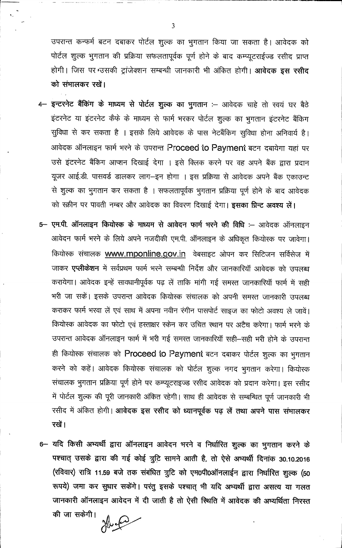उपरान्त कन्फर्म बटन दबाकर पोर्टल शुल्क का भुगतान किया जा सकता है। आवेदक को पोर्टल शुल्क भुगतान की प्रक्रिया सफलतापूर्वक पूर्ण होने के बाद कम्प्यूटराईज्ड रसीद प्राप्त होगी। जिस पर उसकी ट्रांजेक्शन सम्बन्धी जानकारी भी अंकित होगी। आवेदक इस रसीद को संभालकर रखें।

- 4- इन्टरनेट बैंकिंग के माध्यम से पोर्टल शुल्क का भुगतान :- आवेदक चाहे तो स्वयं घर बैठे इंटरनेट या इंटरनेट कैफे के माध्यम से फार्म भरकर पोर्टल शुल्क का भुगतान इंटरनेट बैंकिग सुविधा से कर सकता है । इसके लिये आवेदक के पास नेटबैंकिंग सुविधा होना अनिवार्य है। आवेदक ऑनलाइन फार्म भरने के उपरान्त Proceed to Payment बटन दबायेगा यहां पर उसे इंटरनेट बैंकिंग आप्शन दिखाई देगा । इसे क्लिक करने पर वह अपने बैंक द्वारा प्रदान यूजर आई.डी. पासवर्ड डालकर लाग-इन होगा । इस प्रक्रिया से आवेदक अपने बैंक एकाउन्ट से शुल्क का भुगतान कर सकता है । सफलतापूर्वक भुगतान प्रक्रिया पूर्ण होने के बाद आवेदक को स्क्रीन पर पावती नम्बर और आवेदक का विवरण दिखाई देगा। इसका प्रिन्ट अवश्य लें।
- 5- एम.पी. ऑनलाइन कियोस्क के माध्यम से आवेदन फार्म भरने की विधि :- आवेदक ऑनलाइन आवेदन फार्म भरने के लिये अपने नजदीकी एम.पी. ऑनलाइन के अधिकृत कियोस्क पर जावेगा। कियोस्क संचालक www.mponline.gov.in वेबसाइट ओपन कर सिटिजन सर्विसेज में जाकर एप्लीकेशन में सर्वप्रथम फार्म भरने सम्बन्धी निर्देश और जानकारियाँ आवेदक को उपलब्ध करायेगा। आवेदक इन्हें साक्धानीपूर्वक पढ़ लें ताकि मांगी गई समस्त जानकारियाँ फार्म में सही भरी जा सकें। इसके उपरान्त आवेदक कियोस्क संचालक को अपनी समस्त जानकारी उपलब्ध कराकर फार्म भरवा लें एवं साथ में अपना नवीन रंगीन पासपोर्ट साइज का फोटो अवश्य ले जावें। कियोस्क आवेदक का फोटो एवं हस्ताक्षर स्केन कर उचित स्थान पर अटैच करेगा। फार्म भरने के उपरान्त आवेदक ऑनलाइन फार्म में भरी गई समस्त जानकारियॉ सही–सही भरी होने के उपरान्त ही कियोस्क संचालक को Proceed to Payment बटन दबाकर पोर्टल शुल्क का भुगतान करने को कहें। आवेदक कियोस्क संचालक को पोर्टल शुल्क नगद भुगतान करेगा। कियोस्क संचालक भुगतान प्रक्रिया पूर्ण होने पर कम्प्यूटराइज्ड रसीद आवेदक को प्रदान करेगा। इस रसीद में पोर्टल शुल्क की पूरी जानकारी अंकित रहेगी। साथ ही आवेदक से सम्बन्धित पूर्ण जानकारी भी रसीद में अंकित होगी। आवेदक इस रसीद को ध्यानपूर्वक पढ़ लें तथा अपने पास संभालकर रखें।
- 6- यदि किसी अभ्यर्थी द्वारा ऑनलाइन आवेदन भरने व निर्धारित शुल्क का भुगतान करने के पश्चात् उसके द्वारा की गई कोई त्रुटि़ सामने आती है, तो ऐसे अभ्यर्थी दिनांक 30.10.2016 (रविवार) रात्रि 11.59 बजे तक संबंधित त्रुटि को एम0पी0ऑनलाईन द्वारा निर्धारित शुल्क (50 रूपये) जमा कर सुधार सकेंगे। परंतु इसके पश्चात् भी यदि अभ्यर्थी द्वारा असत्य या गलत जानकारी ऑनलाइन आवेदन में दी जाती है तो ऐसी स्थिति में आवेदक की अभ्यर्थिता निरस्त

की जा सकेगी।

 $\overline{3}$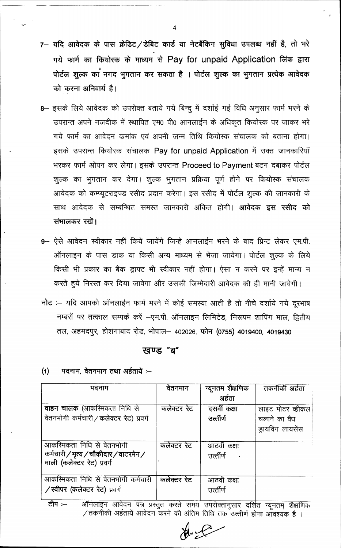- 7- यदि आवेदक के पास क्रेडिट/डेबिट कार्ड या नेटबैंकिंग सुविधा उपलब्ध नहीं है, तो भरे गये फार्म का कियोस्क के माध्यम से Pay for unpaid Application लिंक द्वारा पोर्टल शुल्क का नगद भुगतान कर सकता है । पोर्टल शुल्क का भुगतान प्रत्येक आवेदक को करना अनिवार्य है।
- 8- इसके लिये आवेदक को उपरोक्त बताये गये बिन्दु में दर्शाई गई विधि अनुसार फार्म भरने के उपरान्त अपने नजदीक में स्थापित एम0 पी0 आनलाईन के अधिकृत कियोस्क पर जाकर भरे गये फार्म का आवेदन कमांक एवं अपनी जन्म तिथि कियोस्क संचालक को बताना होगा। इसके उपरान्त कियोस्क संचालक Pay for unpaid Application में उक्त जानकारियाँ भरकर फार्म ओपन कर लेगा। इसके उपरान्त Proceed to Payment बटन दबाकर पोर्टल शुल्क का भुगतान कर देगा। शुल्क भुगतान प्रक्रिया पूर्ण होने पर कियोस्क संचालक आवेदक को कम्प्यूटराइज्ड रसीद प्रदान करेगा। इस रसीद में पोर्टल शूल्क की जानकारी के साथ आवेदक से सम्बन्धित समस्त जानकारी अंकित होगी। **आवेदक इस रसीद को** संभालकर रखें।
- 9- ऐसे आवेदन स्वीकार नहीं कियें जायेंगे जिन्हे आनलाईन भरने के बाद प्रिन्ट लेकर एम.पी. ऑनलाइन के पास डाक या किसी अन्य माध्यम से भेजा जायेगा। पोर्टल शुल्क के लिये किसी भी प्रकार का बैंक ड्राफ्ट भी स्वीकार नहीं होगा। ऐसा न करने पर इन्हें मान्य न करते हुये निरस्त कर दिया जावेगा और उसकी जिम्मेदारी आवेदक की ही मानी जावेगी।
- नोट :- यदि आपको ऑनलाईन फार्म भरने में कोई समस्या आती है तो नीचे दर्शाये गये दूरभाष नम्बरों पर तत्काल सम्पर्क करें –एम.पी. ऑनलाइन लिमिटेड, निरूपम शापिंग माल, द्वितीय तल, अहमदपुर, होशंगाबाद रोड, भोपाल– 402026, फोन (0755) 4019400, 4019430

### खण्ड "ब"

 $(1)$ पदनाम, वेतनमान तथा अर्हतायें :--

| पदनाम                                                                                             | वेतनमान     | न्यूनतम शैक्षणिक          | तकनीकी अर्हता     |
|---------------------------------------------------------------------------------------------------|-------------|---------------------------|-------------------|
|                                                                                                   |             | अर्हता                    |                   |
| वाहन चालक (आकरिमकता निधि से                                                                       | कलेक्टर रेट | दसवीं कक्षा               | लाइट मोटर व्हीकल  |
| वेतनभोगी कर्मचारी / कलेक्टर रेट) प्रवर्ग                                                          |             | उर्त्तीर्ण                | चलाने का वैध      |
|                                                                                                   |             |                           | ड्रायविंग लायसेंस |
| आकरिमकता निधि से वेतनभोगी<br>कर्मचारी / भृत्य / चौकीदार / वाटरमेन /<br>माली (कलेक्टर रेट) प्रवर्ग | कलेक्टर रेट | आठवीं कक्षा<br>उर्त्तीर्ण |                   |
| आकरिमकता निधि से वेतनभोगी कर्मचारी<br>/स्वीपर (कलेक्टर रेट) प्रवर्ग                               | कलेक्टर रेट | आठवीं कक्षा<br>उर्त्तार्ण |                   |

ऑनलाइन आवेदन पत्र प्रस्तुत करते समय उपरोक्तानुसार दर्शित न्यूनतम् शैक्षणिक टीप $:=$ /तकनीकी अर्हतायें आवेदन करने की अंतिम तिथि तक उत्त्तीर्ण होना आवश्यक है ।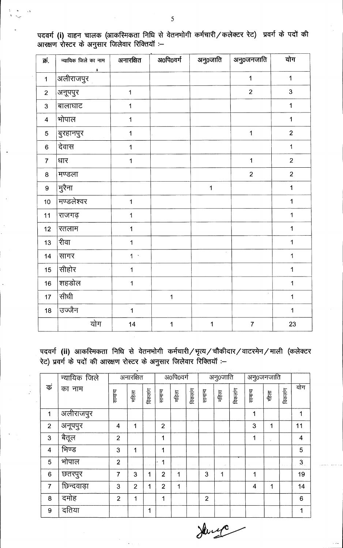| क्रं.                   | न्यायिक जिले का नाम | अनारक्षित      | अ0पि0वर्ग   | अनु0जाति    | अनु0जनजाति     | योग                     |
|-------------------------|---------------------|----------------|-------------|-------------|----------------|-------------------------|
| $\mathbf 1$             | ı<br>अलीराजपुर      |                |             |             | $\mathbf 1$    | $\mathbf 1$             |
| $\overline{2}$          | अनूपपुर             | $\mathbf{1}$   |             |             | $\overline{2}$ | $\overline{3}$          |
| 3                       | बालाघाट             | $\mathbf 1$    |             |             |                | $\mathbf 1$             |
| $\overline{\mathbf{4}}$ | भोपाल               | $\mathbf 1$    |             |             |                | $\overline{1}$          |
| 5                       | बुरहानपुर           | $\mathbf 1$    |             |             | $\mathbf 1$    | $\overline{2}$          |
| 6                       | देवास               | 1              |             |             |                | $\overline{1}$          |
| $\overline{7}$          | धार                 | $\overline{1}$ |             |             | $\mathbf 1$    | $\overline{2}$          |
| 8                       | मण्डला              |                |             |             | $\overline{2}$ | $\overline{2}$          |
| 9                       | मुरैना              |                |             | $\mathbf 1$ |                | $\mathbf 1$             |
| 10                      | मण्डलेश्वर          | $\overline{1}$ |             |             |                | $\mathbf{1}$            |
| 11                      | राजगढ़              | $\mathbf 1$    |             |             |                | $\mathbf 1$             |
| 12                      | रतलाम               | $\mathbf 1$    |             |             |                | $\mathbf 1$             |
| 13                      | रीवा                | $\mathbf 1$    |             |             |                | $\overline{1}$          |
| 14                      | सागर                | 1 <sup>1</sup> |             | $\bar{z}$   |                | $\mathbf 1$             |
| 15 <sub>15</sub>        | सीहोर               | $\mathbf 1$    |             |             |                | $\mathbf 1$             |
| 16                      | शहडोल               | $\mathbf 1$    |             |             |                | $\overline{\mathbf{1}}$ |
| 17 <sup>2</sup>         | सीधी                |                | $\mathbf 1$ |             |                | $\mathbf 1$             |
| 18                      | उज्जैन              | $\mathbf 1$    |             |             |                | $\mathbf 1$             |
|                         | योग                 | 14             | $\mathbf 1$ | 1           | $\overline{7}$ | 23                      |

पदवर्ग (i) वाहन चालक (आकस्मिकता निधि से वेतनभोगी कर्मचारी ⁄ कलेक्टर रेट) प्रवर्ग के पदों की<br>आरक्षण रोस्टर के अनुसार जिलेवार रिक्तियॉ :--

पदवर्ग (ii) आकस्मिकता निधि से वेतनभोगी कर्मचारी /भृत्य / चौकीदार / वाटरमेन / माली (कलेक्टर रेट) प्रवर्ग के पदों की आरक्षण रोस्टर के अनुसार जिलेवार रिक्तियाँ :-

|                         | न्यायिक जिले |                | अनारक्षित      |         |                | अ0पि0वर्ग |               |                | अनु0जाति |         | अनु0जनजाति |       |         |                 |
|-------------------------|--------------|----------------|----------------|---------|----------------|-----------|---------------|----------------|----------|---------|------------|-------|---------|-----------------|
| कं                      | का नाम       | सामान्य        | महिला          | विकलांग | सामान्य        | महिला     | विकलांग       | सामान्य        | महिला    | विकलांग | सामान्य    | गहेला | विकलांग | योग             |
| 1                       | अलीराजपुर    |                |                |         |                |           |               |                |          |         | 1          |       |         | 1               |
| $\overline{2}$          | अनूपपुर      | $\overline{4}$ | 1              |         | $\overline{2}$ |           |               |                |          |         | 3          | 1     |         | 11              |
| $\overline{3}$          | बैतूल        | $\overline{2}$ |                |         | 1              |           |               |                |          |         | 1          |       |         | $\overline{4}$  |
| $\overline{\mathbf{4}}$ | भिण्ड        | 3              | 1              |         | 1              |           |               |                |          |         |            |       |         | 5               |
| 5                       | भोपाल        | $\overline{2}$ |                |         | 1<br>٠         | $\sim$    | $\sim$ $\sim$ |                | $\cdots$ |         |            |       |         | 3 <sub>1</sub>  |
| 6                       | छतरपुर       | $\overline{7}$ | 3              | 1       | $\overline{2}$ | 1         |               | 3              | 1        |         | 1          |       |         | 19              |
| $\overline{7}$          | छिन्दवाड़ा   | 3              | $\overline{2}$ | 1       | $\overline{2}$ | 1         |               |                |          |         | 4          | 1     |         | 14              |
| 8                       | दमोह         | $\overline{2}$ | 1              |         | 1              |           |               | $\overline{2}$ |          |         |            |       |         | $6\phantom{1}6$ |
| 9                       | दतिया        |                |                | 1       |                |           |               |                |          |         |            |       |         | 1               |

Henry

5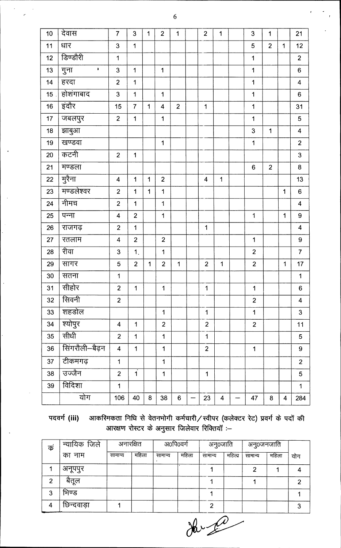| 10              | देवास                  | $\overline{7}$          | 3                       | 1           | $\overline{2}$          | 1              | $\overline{2}$          | 1                       |                          | 3                       | 1              |                         | 21                      |
|-----------------|------------------------|-------------------------|-------------------------|-------------|-------------------------|----------------|-------------------------|-------------------------|--------------------------|-------------------------|----------------|-------------------------|-------------------------|
| $11$            | धार                    | 3                       | 1                       |             |                         |                |                         |                         |                          | 5                       | $\overline{2}$ | 1                       | 12                      |
| 12              | डिण्डौरी               | $\overline{1}$          |                         |             |                         |                |                         |                         |                          | $\overline{\mathbf{1}}$ |                |                         | $\overline{2}$          |
| 13              | गुना<br>$\blacksquare$ | 3                       | $\mathbf 1$             |             | $\mathbf 1$             |                |                         |                         |                          | $\mathbf 1$             |                |                         | $6\phantom{a}$          |
| 14              | हरदा                   | $\overline{2}$          | $\mathbf 1$             |             |                         |                |                         |                         |                          | 1                       |                |                         | $\overline{\mathbf{4}}$ |
| 15 <sub>1</sub> | होशंगाबाद              | 3                       | $\mathbf{1}$            |             | $\mathbf 1$             |                |                         |                         |                          | $\overline{1}$          |                |                         | $6\phantom{a}$          |
| 16              | इंदौर                  | 15                      | $\overline{7}$          | 1           | $\overline{\mathbf{4}}$ | $\overline{2}$ | $\mathbf 1$             |                         |                          | $\mathbf 1$             |                |                         | 31                      |
| 17 <sub>2</sub> | जबलपुर                 | $\overline{2}$          | 1                       |             | $\mathbf{1}$            |                |                         |                         |                          | $\mathbf 1$             |                |                         | 5                       |
| 18              | झाबुआ                  |                         |                         |             |                         |                |                         |                         |                          | 3                       | $\mathbf 1$    |                         | $\overline{\mathbf{4}}$ |
| 19              | खण्डवा                 |                         |                         |             | 1                       |                |                         |                         |                          | $\mathbf 1$             |                |                         | $\overline{2}$          |
| 20              | कटनी                   | $\overline{2}$          | 1                       |             |                         |                |                         |                         |                          |                         |                |                         | 3                       |
| 21              | मण्डला                 |                         |                         |             |                         |                |                         |                         |                          | $\boldsymbol{6}$        | $\overline{2}$ |                         | 8                       |
| 22              | मुरैना                 | $\overline{\mathbf{4}}$ | 1                       | 1           | $\overline{2}$          |                | $\overline{\mathbf{4}}$ | 1                       |                          |                         |                |                         | 13                      |
| 23              | मण्डलेश्वर             | $\overline{2}$          | 1                       | $\mathbf 1$ | $\mathbf 1$             |                |                         |                         |                          |                         |                | $\mathbf 1$             | $6\phantom{a}$          |
| 24              | नीमच                   | $\overline{2}$          | 1                       |             | $\mathbf 1$             |                |                         |                         |                          |                         |                |                         | $\overline{\mathbf{4}}$ |
| 25              | पन्ना                  | $\overline{\mathbf{4}}$ | $\overline{2}$          |             | $\mathbf 1$             |                |                         |                         |                          | $\ddagger$              |                | 1                       | 9                       |
| 26              | राजगढ़                 | $\overline{2}$          | $\mathbf{1}$            |             |                         |                | $\mathbf{1}$            |                         |                          |                         |                |                         | $\overline{\mathbf{4}}$ |
| 27              | रतलाम                  | $\overline{\mathbf{4}}$ | $\overline{2}$          |             | $\overline{2}$          |                |                         |                         |                          | 1                       |                |                         | $\boldsymbol{9}$        |
| 28              | रीवा                   | 3                       | 1 <sub>1</sub>          |             | $\mathbf{1}$            |                |                         |                         |                          | $\overline{2}$          |                |                         | $\overline{7}$          |
| 29              | सागर                   | 5                       | $\overline{2}$          | 1           | $\overline{2}$          | $\mathbf{1}$   | $\overline{c}$          | $\mathbf{1}$            |                          | $\overline{2}$          |                | 1                       | 17                      |
| 30              | सतना                   | $\mathbf{1}$            |                         |             |                         |                |                         |                         |                          |                         |                |                         | $\mathbf 1$             |
| 31              | सीहोर                  | $\overline{2}$          | $\mathbf{1}$            |             | 1                       |                | 1                       |                         |                          | 1                       |                |                         | $6\phantom{1}$          |
| 32              | सिवनी                  | $\overline{2}$          |                         |             |                         |                |                         |                         |                          | $\overline{2}$          |                |                         | $\overline{\mathbf{4}}$ |
| 33              | शहडोल                  |                         |                         |             | $\mathbf{1}$            |                | $\mathbf{1}$            |                         |                          | $\mathbf 1$             |                |                         | $\overline{3}$          |
| 34              | श्योपुर                | $\overline{4}$          | $\mathbf 1$             |             | $\overline{2}$          |                | $\overline{2}$          |                         |                          | $\overline{2}$          |                |                         | 11                      |
| 35              | सीधी                   | $\overline{2}$          | $\mathbf 1$             |             | $\overline{1}$          |                | $\overline{1}$          |                         |                          |                         |                |                         | 5                       |
| 36              | सिंगरौली–बैढ़न         | $\overline{4}$          | $\mathbf 1$             |             | $\mathbf{1}$            |                | $\overline{2}$          |                         |                          | $\mathbf 1$             |                |                         | 9                       |
| 37              | टीकमगढ़                | $\mathbf{1}$            |                         |             | $\mathbf{1}$            |                |                         |                         |                          |                         |                |                         | $\overline{2}$          |
| 38              | उज्जैन                 | $\overline{2}$          | $\overline{\mathbf{1}}$ |             | $\mathbf 1$             |                | $\mathbf 1$             |                         |                          |                         |                |                         | 5                       |
| 39              | विदिशा                 | $\mathbf{1}$            |                         |             |                         |                |                         |                         |                          |                         |                |                         | $\overline{\mathbf{1}}$ |
|                 | योग                    | 106                     | 40                      | 8           | 38                      | 6              | 23                      | $\overline{\mathbf{4}}$ | $\overline{\phantom{0}}$ | 47                      | 8              | $\overline{\mathbf{4}}$ | 284                     |
|                 |                        |                         |                         |             |                         |                |                         |                         |                          |                         |                |                         |                         |

आकस्मिकता निधि से वेतनभोगी कर्मचारी/स्वीपर (कलेक्टर रेट) प्रवर्ग के पदों की<br>आरक्षण रोस्टर के अनुसार जिलेवार रिक्तियॉ :--पदवर्ग (iii)

| क              | न्यायिक जिले<br>अनारक्षित |         |       |         | अ0पि0वर्ग | अनु0जाति |       | अनु0जनजाति |       |     |
|----------------|---------------------------|---------|-------|---------|-----------|----------|-------|------------|-------|-----|
|                | का नाम                    | सामान्य | महिला | सामान्य | महिला     | सामान्य  | महिला | सामान्य    | महिला | योग |
|                | अनूपपुर                   |         |       |         |           |          |       | 2          |       |     |
| $\overline{2}$ | बैतूल                     |         |       |         |           |          |       |            |       | רי  |
| 3              | भिण्ड                     |         |       |         |           |          |       |            |       |     |
| 4              | छिन्दवाड़ा                |         |       |         |           | ◠        |       |            |       |     |

 $\frac{1}{\sqrt{2\pi}}$ 

 $\overline{6}$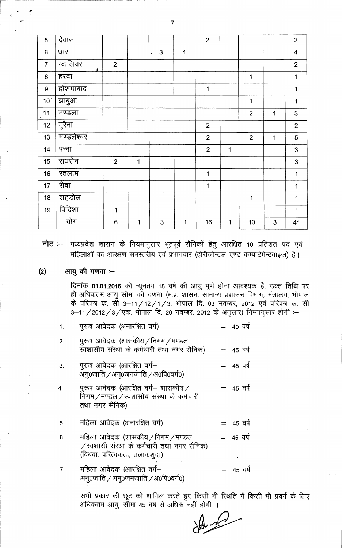| 5               | देवास                      |                  |             |                    |             | $\overline{2}$ |             |                |   | $\overline{2}$          |
|-----------------|----------------------------|------------------|-------------|--------------------|-------------|----------------|-------------|----------------|---|-------------------------|
| $6\phantom{a}$  | धार                        |                  |             | $\mathbf{3}$<br>v. | 1           |                |             |                |   | $\overline{\mathbf{4}}$ |
| $\overline{7}$  | ग्वालियर<br>$\blacksquare$ | $\overline{2}$   |             |                    |             |                |             |                |   | $\overline{2}$          |
| $\bf 8$         | हरदा                       |                  |             |                    |             |                |             | 1              |   | $\mathbf 1$             |
| 9 <sup>°</sup>  | होशंगाबाद                  |                  |             |                    |             | 1              |             |                |   | $\mathbf{1}$            |
| 10 <sup>1</sup> | झाबुआ                      | $\lambda$        |             |                    |             |                |             | 1              |   | $\mathbf{1}$            |
| 11              | मण्डला                     |                  |             |                    |             |                |             | $\overline{2}$ | 1 | 3                       |
| 12              | मुरैना                     |                  |             |                    |             | $\overline{2}$ |             |                |   | $\overline{2}$          |
| 13              | मण्डलेश्वर                 |                  |             |                    |             | $\overline{2}$ |             | $\overline{2}$ | 1 | 5                       |
| 14 <sup>2</sup> | पन्ना                      |                  |             |                    |             | $\overline{2}$ | $\mathbf 1$ |                |   | $\overline{3}$          |
| 15              | रायसेन                     | $\overline{2}$   | $\mathbf 1$ |                    |             |                |             |                |   | 3                       |
| 16              | रतलाम                      |                  |             |                    |             | 1              |             |                |   | $\mathbf 1$             |
| 17              | रीवा                       |                  |             |                    |             | 1              |             |                |   | 1                       |
| 18              | शहडोल                      |                  |             |                    |             |                |             | $\mathbf 1$    |   | 1                       |
| 19              | विदिशा                     | 1                |             |                    |             |                |             |                |   | 1                       |
|                 | योग                        | $\boldsymbol{6}$ | $\mathbf 1$ | 3                  | $\mathbf 1$ | 16             | $\mathbf 1$ | 10             | 3 | 41                      |

नोट :-- मध्यप्रदेश शासन के नियमानुसार भूतपूर्व सैनिकों हेतु आरक्षित 10 प्रतिशत पद एवं महिलाओं का आरक्षण समस्तरीय एवं प्रभागवार (होरीजोन्टल एण्ड कम्पार्टमेन्टवाइज) है।

#### आयु की गणना :- $(2)$

दिनाँक 01.01.2016 को न्यूनतम 18 वर्ष की आयु पूर्ण होना आवश्यक है, उक्त तिथि पर ही अधिकतम आयु सीमा की गणना (म.प्र. शासन, सामान्य प्रशासन विभाग, मंत्रालय, भोपाल के परिपत्र क. सी 3–11/12/1/3, भोपाल दि. 03 नवम्बर, 2012 एवं परिपत्र क. सी<br>3–11/2012/3/एक, भोपाल दि. 20 नवम्बर, 2012 के अनुसार) निम्नानुसार होगी :–

| 1.               | पुरूष आवेदक (अनारक्षित वर्ग)                                                                                      | $= 40$ वर्ष |
|------------------|-------------------------------------------------------------------------------------------------------------------|-------------|
| 2.               | पुरूष आवेदक (शासकीय / निगम / मण्डल<br>स्वशासीय संस्था के कर्मचारी तथा नगर सैनिक)                                  | $= 45$ वर्ष |
| 3.               | पुरूष आवेदक (आरक्षित वर्ग—<br>अनू0जाति /अनू0जनजाति /अ0पि0वर्ग0)                                                   | $= 45$ वर्ष |
| $\overline{4}$ . | पुरूष आवेदक (आरक्षित वर्ग— शासकीय ⁄<br>निगम/मण्डल/स्वशासीय संस्था के कर्मचारी<br>तथा नगर सैनिक)                   | $= 45$ वर्ष |
| 5.               | महिला आवेदक (अनारक्षित वर्ग)                                                                                      | $= 45$ वर्ष |
| 6.               | महिला आवेदक (शासकीय / निगम / मण्डल<br>/ स्वशासी संस्था के कर्मचारी तथा नगर सैनिक)<br>(विधवा, परित्यकता, तलाकशूदा) | $= 45$ वर्ष |
| 7.               | महिला आवेदक (आरक्षित वर्ग-<br>अन0जाति /अन0जनजाति /अ0पि0वर्ग0)                                                     | $= 45$ वर्ष |

सभी प्रकार की छूट को शामिल करते हुए किसी भी स्थिति में किसी भी प्रवर्ग के लिए अधिकतम आयु–सीमा 45 वर्ष से अधिक नहीं होगी ।

 $\mu_{\rm c}$ 

 $\overline{7}$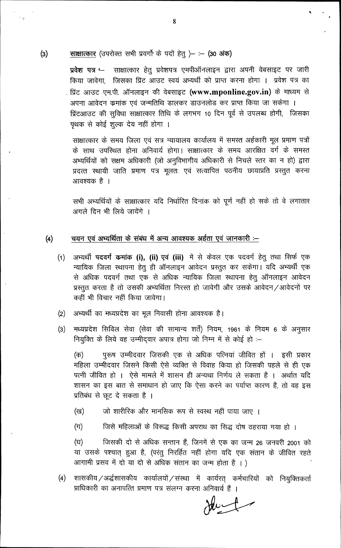### $(3)$ साक्षात्कार (उपरोक्त सभी प्रवर्गों के पदों हेतु) - : - (30 अंक)

 $\frac{1}{2}$ 

प्रवेश पत्र '-साक्षात्कार हेतु प्रवेशपत्र एमपीऑनलाइन द्वारा अपनी वेबसाइट पर जारी किया जावेगा, जिसका प्रिंट आउट स्वयं अभ्यर्थी को प्राप्त करना होगा । प्रवेश पत्र का . प्रिंट आउट एम.पी. ऑनलाइन की वेबसाइट **(www.mponline.gov.in)** के माध्यम से अपना आवेदन कमांक एवं जन्मतिथि डालकर डाउनलोड कर प्राप्त किया जा सकेगा । प्रिंटआउट की सुविधा साक्षात्कार तिथि के लगभग 10 दिन पूर्व से उपलब्ध होगी, जिसका पृथक से कोई शुल्क देय नहीं होगा ।

साक्षात्कार के समय जिला एवं सत्र न्यायालय कार्यालय में समस्त अर्हकारी मूल प्रमाण पत्रों के साथ उपस्थित होना अनिवार्य होगा। साक्षात्कार के समय आरक्षित वर्ग के समस्त अभ्यर्थियों को सक्षम अधिकारी (जो अनुविभागीय अधिकारी से निचले स्तर का न हो) द्वारा प्रदत्त स्थायी जाति प्रमाण पत्र मूलतः एवं सत्यापित पठनीय छायाप्रति प्रस्तुत करना आवश्यक है ।

सभी अभ्यर्थियों के साक्षात्कार यदि निर्धारित दिनांक को पूर्ण नहीं हो सके तो वे लगातार अगले दिन भी लिये जायेंगे ।

#### $(4)$ चयन एवं अभ्यर्थिता के संबंध में अन्य आवश्यक अर्हता एवं जानकारी :–

- अभ्यर्थी पदवर्ग कमांक (i), (ii) एवं (iii) में से केवल एक पदवर्ग हेतु तथा सिर्फ एक  $(1)$ न्यायिक जिला स्थापना हेतु ही ऑनलाइन आवेदन प्रस्तुत कर सकेगा। यदि अभ्यर्थी एक से अधिक पदवर्ग तथा एक से अधिक न्यायिक जिला स्थापना हेतु ऑनलाइन आवेदन प्रस्तुत करता है तो उसकी अभ्यर्थिता निरस्त हो जावेगी और उसके आवेदन/आवेदनों पर कहीं भी विचार नहीं किया जावेगा।
- अभ्यर्थी का मध्यप्रदेश का मूल निवासी होना आवश्यक है।  $(2)$
- मध्यप्रदेश सिविल सेवा (सेवा की सामान्य शर्तें) नियम, 1961 के नियम 6 के अनुसार  $(3)$ नियुक्ति के लिये वह उम्मीदवार अपात्र होगा जो निम्न में से कोई हो :-

(क) पुरूष उम्मीदवार जिसकी एक से अधिक पत्नियां जीवित हों । इसी प्रकार महिला उम्मीदवार जिसने किसी ऐसे व्यक्ति से विवाह किया हो जिसकी पहले से ही एक पत्नी जीवित हो । ऐसे मामले में शासन ही अन्यथा निर्णय ले सकता है । अर्थात यदि शासन का इस बात से समाधान हो जाए कि ऐसा करने का पर्याप्त कारण है, तो वह इस प्रतिबंध से छूट दे सकता है ।

- जो शारीरिक और मानसिक रूप से स्वस्थ नहीं पाया जाए । (ख)
- $(\pi)$ जिसे महिलाओं के विरूद्ध किसी अपराध का सिद्ध दोष ठहराया गया हो ।

जिसकी दो से अधिक सन्तान हैं, जिनमें से एक का जन्म 26 जनवरी 2001 को (घ) या उसके पश्चात् हुआ है, (परंतु निरर्हित नहीं होगा यदि एक संतान के जीवित रहते आगामी प्रसव में दो या दो से अधिक संतान का जन्म होता है । )

शासकीय/अर्द्धशासकीय कार्यालयों/संस्था में कार्यरत् कर्मचारियों को नियुक्तिकर्ता  $(4)$ प्राधिकारी का अनापत्ति प्रमाण पत्र संलग्न करना अनिवार्य हैं ।

8